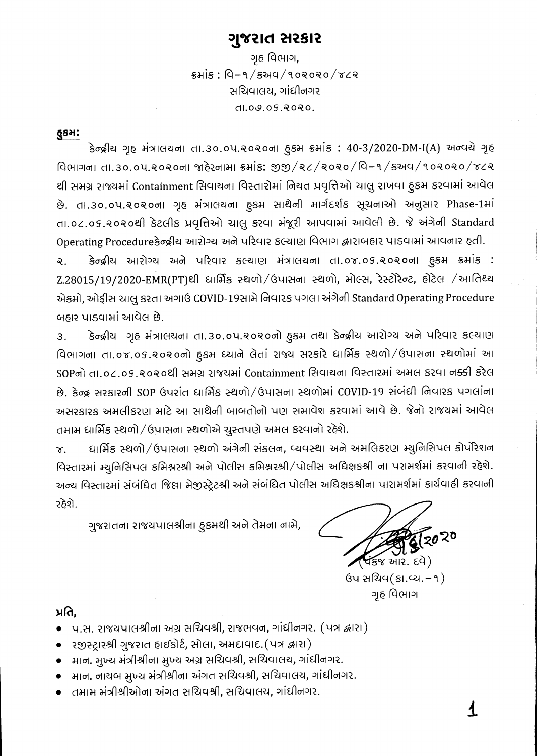## ગુજરાત સરકાર

ગૃહ વિભાગ,  $s$ भांड: पि-१/९ अप/१०२०२०/४८२ સચિવાલય, ગાંધીનગર dl.09.09.2020.

### **GSH:**

કેન્દ્રીય ગૃહ મંત્રાલયના તા.30.0૫.૨૦૨૦ના હુકમ ક્રમાંક: 40-3/2020-DM-I(A) અન્વયે ગૃહ विलागना ता.३०.०५.२०२०ना ४हेरनामा इमांड: १९१/२८/२०२०/वि-१/इसय/१०२०२०/४८२ થી સમગ્ર રાજ્યમાં Containment સિવાયના વિસ્તારોમાં નિયત પ્રવૃત્તિઓ ચાલુ રાખવા હુકમ કરવામાં આવેલ છે. તા.૩૦.૦૫.૨૦૨૦ના ગૃહ મંત્રાલયના ફુકમ સાથેની માર્ગદર્શક સૂચનાઓ અનુસાર Phase-1માં તા.oc.os.૨૦૨૦થી કેટલીક પ્રવૃત્તિઓ ચાલુ કરવા મંજૂરી આપવામાં આવેલી છે. જે અંગેની Standard Operating Procedureકેન્દ્રીય આરોગ્ય અને પરિવાર કલ્યાણ વિભાગ દ્વારાબહાર પાડવામાં આવનાર હતી.

કેન્દ્રીય આરોગ્ય અને પરિવાર કલ્યાણ મંત્રાલયના તા.૦૪.૦૬.૨૦૨૦ના હુકમ ક્રમાંક :  $\overline{Q}$ . Z.28015/19/2020-EMR(PT)થી ધાર્મિક સ્થળો/ઉપાસના સ્થળો, મોલ્સ, રેસ્ટોરેન્ટ, હોટેલ /આતિથ્ય એકમો, ઓફીસ ચાલુ કરતા અગાઉ COVID-19સામે નિવારક પગલા અંગેની Standard Operating Procedure બહાર પાડવામાં આવેલ છે.

કેન્દ્રીય ગૃહ મંત્રાલયના તા.૩૦.૦૫.૨૦૨૦નો હુકમ તથા કેન્દ્રીય આરોગ્ય અને પરિવાર કલ્યાણ  $\overline{3}$ . विભागना ता.०४.०५.२०२०नो हुडभ ध्याने लेतां राश्य सरडारे धार्भिड स्थળो/ઉપासना स्थलोमां આ SOPનો તા.o८.o૬.૨૦૨૦થી સમગ્ર રાજયમાં Containment સિવાયના વિસ્તારમાં અમલ કરવા નક્કી કરેલ છે. કેન્દ્ર સરકારની SOP ઉપરાંત ધાર્મિક સ્થળો/ઉપાસના સ્થળોમાં COVID-19 સંબંધી નિવારક પગલાંના અસરકારક અમલીકરણ માટે આ સાથેની બાબતોનો પણ સમાવેશ કરવામાં આવે છે. જેનો રાજયમાં આવેલ તમામ ધાર્મિક સ્થળો / ઉપાસના સ્થળોએ ચુસ્તપણે અમલ કરવાનો રહેશે.

ધાર્મિક સ્થળો/ઉપાસના સ્થળો અંગેની સંકલન, વ્યવસ્થા અને અમલિકરણ મ્યુનિસિપલ કોર્પોરેશન  $\mathbf{x}$ . વિસ્તારમાં મ્યુનિસિપલ કમિશ્નરશ્રી અને પોલીસ કમિશ્નરશ્રી/પોલીસ અધિક્ષકશ્રી ના પરામર્શમાં કરવાની રહેશે. અન્ય વિસ્તારમાં સંબંધિત જિલ્ના મેજીસ્ટ્રેટશ્રી અને સંબંધિત પોલીસ અધિક્ષકશ્રીના પારામર્શમાં કાર્યવાહી કરવાની રઠેશે.

ગુજરાતના રાજયપાલશ્રીના હૂકમથી અને તેમના નામે,

2020 **વં**કજ આર. દવે)

 $(34 \text{ }\text{H})$ ચિવ $(81 \text{ }\text{H})$ ગૃહ વિભાગ

## પ્રતિ.

- પ.સ. રાજયપાલશ્રીના અગ્ર સચિવશ્રી, રાજભવન, ગાંધીનગર. (પત્ર દ્વારા)
- રજીસ્ટ્રારશ્રી ગુજરાત હાઈકોર્ટ, સોલા, અમદાવાદ.(પત્ર દ્વારા)
- માન. મુખ્ય મંત્રીશ્રીના મુખ્ય અગ્ર સચિવશ્રી, સચિવાલય, ગાંધીનગર.
- – માન. નાયબ મુખ્ય મંત્રીશ્રીના અંગત સચિવશ્રી, સચિવાલય, ગાંધીનગર.
- તમામ મંત્રીશ્રીઓના અંગત સચિવશ્રી, સચિવાલય, ગાંધીનગર.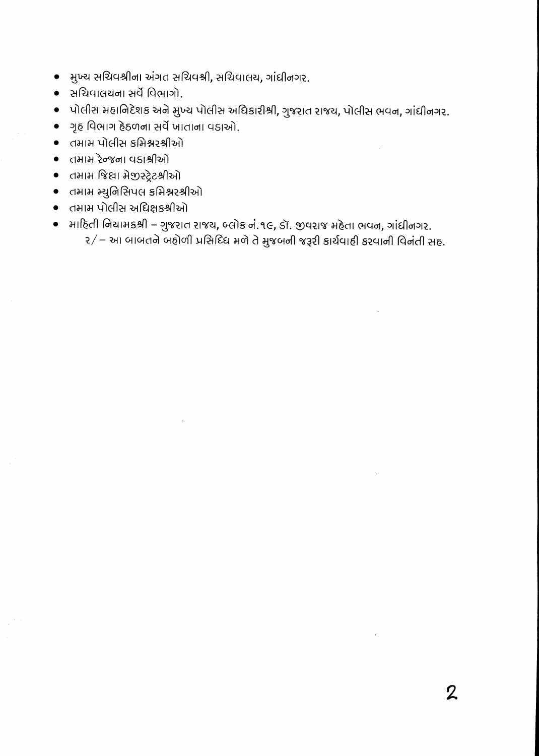- મુખ્ય સચિવશ્રીના અંગત સચિવશ્રી, સચિવાલય, ગાંધીનગર.  $\bullet$
- સચિવાલયના સર્વે વિભાગો.
- પોલીસ મહાનિદેશક અને મુખ્ય પોલીસ અધિકારીશ્રી, ગુજરાત રાજય, પોલીસ ભવન, ગાંધીનગર.
- ગૃહ વિભાગ હેઠળના સર્વે ખાતાના વડાઓ.
- तमाम पोलीस કમિશ્નરશ્રીઓ
- तभाभ रेन्જना पडाश्रीओ
- तमाम જિલ્લા મેજીસ્ટ્રેટશ્રીઓ
- तमाम म्युनिसिपલ કમિશ્નરશ્રીઓ
- तमाम पोलीस अधिक्षङश्रीओ
- માદિતી નિયામકશ્રી ગુજરાત રાજય, બ્લોક નં.૧૯, ડૉ. જીવરાજ મહેતા ભવન, ગાંધીનગર. ર/ – આ બાબતને બહોળી પ્રસિદિધ મળે તે મુજબની જરૂરી કાર્યવાહી કરવાની વિનંતી સહ.

 $\mathbf 2$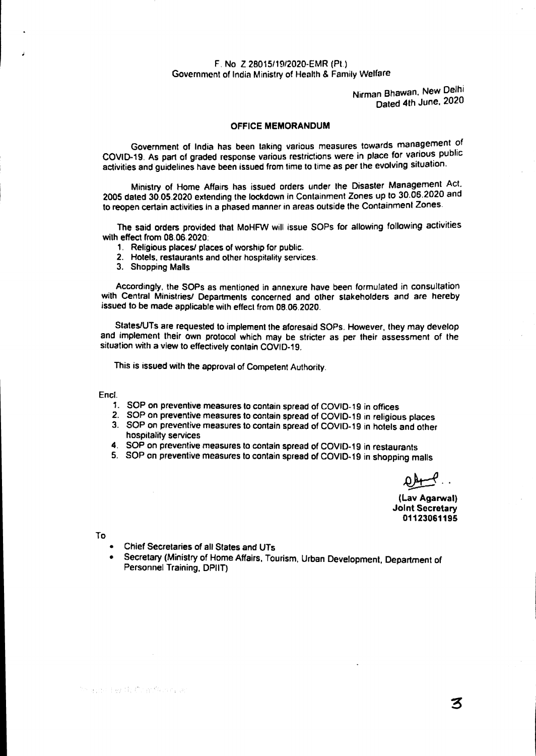#### **F. No Z 2801511,912020-EMR (Pt.) Government of India Ministry of Health & Family Welfare**

**Nirman Bhawan, New Delhi Dated 4th June, 2020** 

#### **OFFICE MEMORANDUM**

**Government of India has been taking various measures towards management of COVID-19. As part of graded response various restrictions were in place for various public activities and guidelines have been issued from lime to time as per the evolving situation.** 

**Ministry of Home Affairs has issued orders under the Disaster Management Act. 2005 dated 30.05.2020 extending the lockdown in Containment Zones up to 30.06.2020 and to reopen certain activities in a phased manner in areas outside the Containment Zones.** 

**The said orders provided that MoHFW will issue SOPs for allowing following activities with effect from 08,06.2020:** 

- **1. Religious places/ places of worship for public.**
- **2. Hotels, restaurants and other hospitality services.**
- **3. Shopping Malls**

**Accordingly, the SOPs as mentioned in annexure have been formulated in consultation with Central Ministries/ Departments concerned and other stakeholders and are hereby issued to be made applicable with effect from 08.06.2020.** 

**StateslUTs are requested to implement the aforesaid SOPs. However, they may develop and implement their own protocol which may be stricter as per their assessment of the situation with a view to effectively contain COVID-19.** 

**This is issued with the approval of Competent Authority.** 

**Encl.** 

- **1. SOP on preventive measures to contain spread of COVID-19 in offices**
- **2. SOP on preventive measures to contain spread of COVID-19 in religious places**
- **3. SOP on preventive measures to contain spread of COVID-19 in hotels and other hospitality services**
- **4. SOP on preventive measures to contain spread of COVID-19 in restaurants**
- **5. SOP on preventive measures to contain spread of COVID-19 in shopping malls**

**#04-4** 

**(Lay Agarwal) Joint Secretary 01123061195** 

**To** 

- **Chief Secretaries of all States and UTs**
- **Secretary (Ministry of Home Affairs, Tourism, Urban Development, Department of Personnel Training, DPIIT)**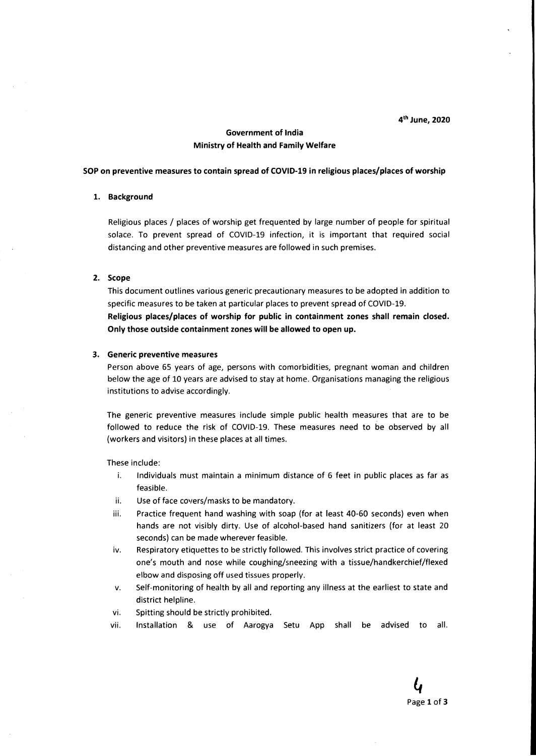4<sup>th</sup> June, 2020

#### **Government of India Ministry of Health and Family Welfare**

#### **SOP on preventive measures to contain spread of COVID-19 in religious places/places of worship**

#### **1. Background**

Religious places / places of worship get frequented by large number of people for spiritual solace. To prevent spread of COVID-19 infection, it is important that required social distancing and other preventive measures are followed in such premises.

#### **2. Scope**

This document outlines various generic precautionary measures to be adopted in addition to specific measures to be taken at particular places to prevent spread of COVID-19. **Religious places/places of worship for public in containment zones shall remain closed. Only those outside containment zones will be allowed to open up.** 

#### **3. Generic preventive measures**

Person above 65 years of age, persons with comorbidities, pregnant woman and children below the age of 10 years are advised to stay at home. Organisations managing the religious institutions to advise accordingly.

The generic preventive measures include simple public health measures that are to be followed to reduce the risk of COVID-19. These measures need to be observed by all (workers and visitors) in these places at all times.

These include:

- i. Individuals must maintain a minimum distance of 6 feet in public places as far as feasible.
- ii. Use of face covers/masks to be mandatory.
- iii. Practice frequent hand washing with soap (for at least 40-60 seconds) even when hands are not visibly dirty. Use of alcohol-based hand sanitizers (for at least 20 seconds) can be made wherever feasible.
- iv. Respiratory etiquettes to be strictly followed. This involves strict practice of covering one's mouth and nose while coughing/sneezing with a tissue/handkerchief/flexed elbow and disposing off used tissues properly.
- v. Self-monitoring of health by all and reporting any illness at the earliest to state and district helpline.
- vi. Spitting should be strictly prohibited.
- vii. Installation & use of Aarogya Setu App shall be advised to all.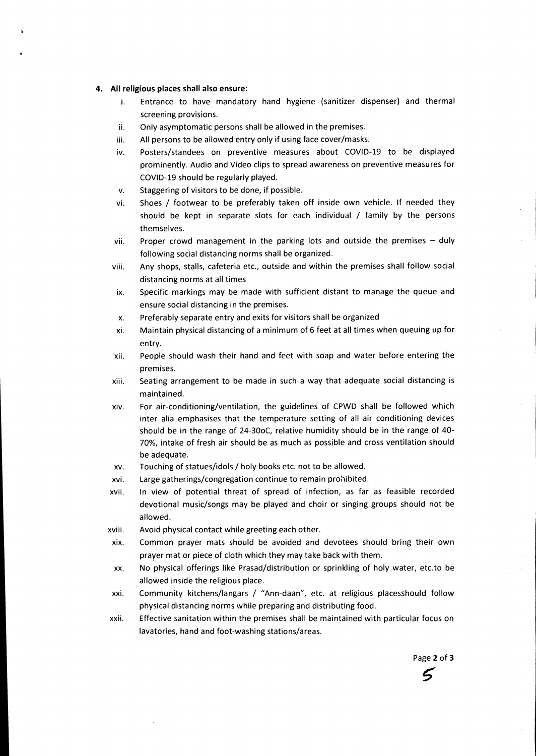#### **4. All religious places shall also ensure:**

- i. Entrance to have mandatory hand hygiene (sanitizer dispenser) and thermal screening provisions.
- ii. Only asymptomatic persons shall be allowed in the premises.
- iii. All persons to be allowed entry only if using face cover/masks.
- iv. Posters/standees on preventive measures about COVID-19 to be displayed prominently. Audio and Video clips to spread awareness on preventive measures for COVID-19 should be regularly played.
- v. Staggering of visitors to be done, if possible.
- vi. Shoes / footwear to be preferably taken off inside own vehicle. If needed they should be kept in separate slots for each individual / family by the persons themselves.
- vii. Proper crowd management in the parking lots and outside the premises duly following social distancing norms shall be organized.
- viii. Any shops, stalls, cafeteria etc., outside and within the premises shall follow social distancing norms at all times
- ix. Specific markings may be made with sufficient distant to manage the queue and ensure social distancing in the premises.
- x. Preferably separate entry and exits for visitors shall be organized
- xi. Maintain physical distancing of a minimum of 6 feet at all times when queuing up for entry.
- xii. People should wash their hand and feet with soap and water before entering the premises.
- xiii. Seating arrangement to be made in such a way that adequate social distancing is maintained.
- xiv. For air-conditioning/ventilation, the guidelines of CPWD shall be followed which inter alia emphasises that the temperature setting of all air conditioning devices should be in the range of 24-30oC, relative humidity should be in the range of 40- 70%, intake of fresh air should be as much as possible and cross ventilation should be adequate.
- xv. Touching of statues/idols / holy books etc. not to be allowed.
- xvi. Large gatherings/congregation continue to remain prohibited.
- xvii. In view of potential threat of spread of infection, as far as feasible recorded devotional music/songs may be played and choir or singing groups should not be allowed.
- xviii. Avoid physical contact while greeting each other.
- xix. Common prayer mats should be avoided and devotees should bring their own prayer mat or piece of cloth which they may take back with them.
- xx. No physical offerings like Prasad/distribution or sprinkling of holy water, etc.to be allowed inside the religious place.
- xxi. Community kitchens/langars / "Ann-daan", etc. at religious placesshould follow physical distancing norms while preparing and distributing food.
- xxii. Effective sanitation within the premises shall be maintained with particular focus on lavatories, hand and foot-washing stations/areas.

Page **2** of **3** 

5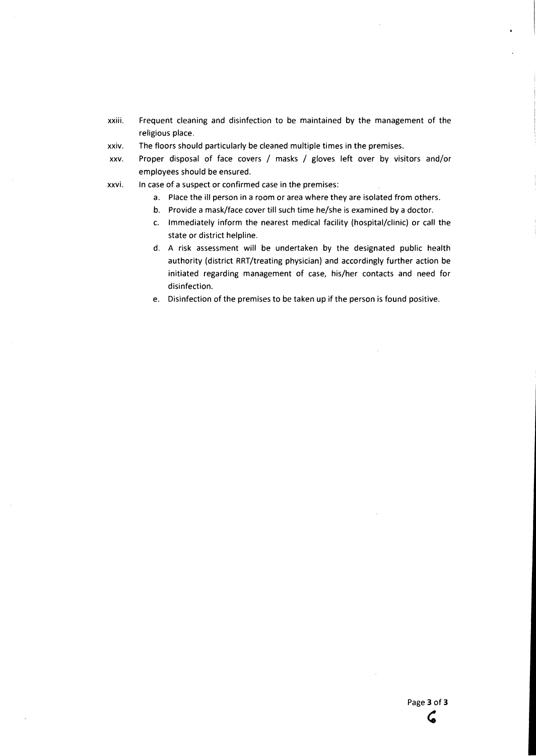- **xxiii. Frequent cleaning and disinfection to be maintained by the management of the religious place.**
- **xxiv. The floors should particularly be cleaned multiple times in the premises.**
- **xxv. Proper disposal of face covers / masks / gloves left over by visitors and/or employees should be ensured.**
- **xxvi. In case of a suspect or confirmed case in the premises:** 
	- **a. Place the ill person in a room or area where they are isolated from others.**
	- **b. Provide a mask/face cover till such time he/she is examined by a doctor.**
	- **c. Immediately inform the nearest medical facility (hospital/clinic) or call the state or district helpline.**
	- **d. A risk assessment will be undertaken by the designated public health authority (district RRT/treating physician) and accordingly further action be initiated regarding management of case, his/her contacts and need for disinfection.**
	- **e. Disinfection of the premises to be taken up if the person is found positive.**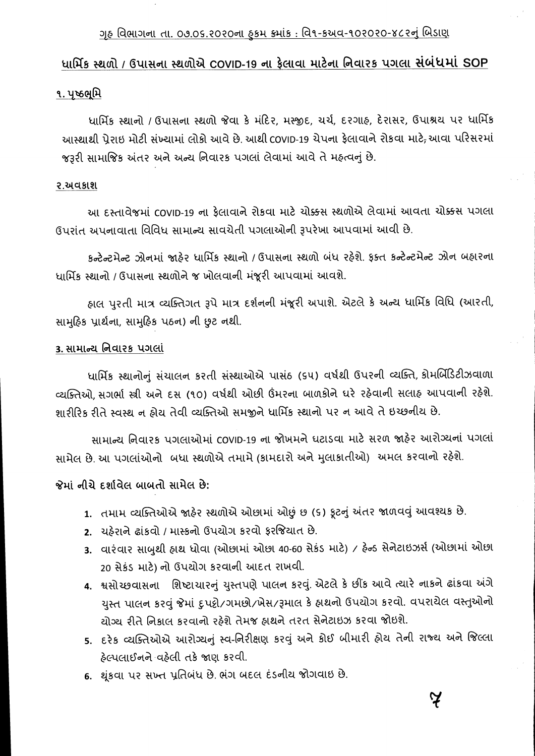# <u>ગૃહ વિભાગના તા. 09.05.૨0૨0ના ફકમ ક્રમાંક : વિ૧-કઅવ-૧૦૨૦૨૦-૪૮૨નું બિડાણ</u>

# <u>ધાર્મિક સ્થળો / ઉપાસના સ્થળોએ COVID-19 ના ફેલાવા માટેના નિવારક પગલા સંબંધમાં SOP</u>

## ૧. પૃષ્ઠભૂમિ

ધાર્મિક સ્થાનો / ઉપાસના સ્થળો જેવા કે મંદિર, મસ્જીદ, યર્ચ, દરગાહ, દેરાસર, ઉપાશ્રય પર ધાર્મિક આસ્થાથી પ્રેરાઇ મોટી સંખ્યામાં લોકો આવે છે. આથી covip-19 ચેપના ફેલાવાને રોકવા માટે<del>,</del> આવા પરિસરમાં જરૂરી સામાજિક અંતર અને અન્ય નિવારક પગલાં લેવામાં આવે તે મહ્ત્વનું છે.

## ર.અવકાશ

આ દસ્તાવેજમાં COVID-19 ના ફેલાવાને રોકવા માટે ચોક્કસ સ્થળોએ લેવામાં આવતા ચોક્કસ પગલા ઉપરાંત અપનાવાતા વિવિધ સામાન્ય સાવચેતી પગલાઓની રૂપરેખા આપવામાં આવી છે.

કન્ટેન્ટમેન્ટ ઝોનમાં જાહેર ધાર્મિક સ્થાનો / ઉપાસના સ્થળો બંધ રહેશે. ફક્ત કન્ટેન્ટમેન્ટ ઝોન બહારના ધાર્મિક સ્થાનો / ઉપાસના સ્થળોને જ ખોલવાની મંજૂરી આપવામાં આવશે.

હાલ પુરતી માત્ર વ્યક્તિગત રૂપે માત્ર દર્શનની મંજૂરી અપાશે. એટલે કે અન્ય ધાર્મિક વિધિ (આરતી, સામૂઠિક પ્રાર્થના, સામુઠિક પઠન) ની છુટ નથી.

## 3. સામાન્ય નિવારક પગલાં

ધાર્મિક સ્થાનોનું સંચાલન કરતી સંસ્થાઓએ પાસંઠ (૬૫) વર્ષથી ઉપરની વ્યક્તિ, કોમર્બિડિટીઝવાળા વ્યક્તિઓ, સગર્ભા સ્ત્રી અને દસ (૧૦) વર્ષથી ઓછી ઉંમરના બાળકોને ધરે રહેવાની સલાહ આપવાની રહેશે. શારીરિક રીતે સ્વસ્થ ન હોય તેવી વ્યક્તિઓ સમજીને ધાર્મિક સ્થાનો પર ન આવે તે ઇચ્છનીય છે.

સામાન્ય નિવારક પગલાઓમાં COVID-19 ના જોખમને ધટાડવા માટે સરળ જાહેર આરોગ્યનાં પગલાં સામેલ છે. આ પગલાંઓનો બધા સ્થળોએ તમામે (કામદારો અને મુલાકાતીઓ) અમલ કરવાનો રહેશે.

જેમાં નીચે દર્શાવેલ બાબતો સામેલ છે:

- 1. તમામ વ્યક્તિઓએ જાહેર સ્થળોએ ઓછામાં ઓછું છ (૬) કૂટનું અંતર જાળવવું આવશ્યક છે.
- 2. યહેરાને ઢાંકવો / માસ્કનો ઉપયોગ કરવો કરજિયાત છે.
- 3. વારંવાર સાબુથી હાથ ધોવા (ઓછામાં ઓછા 40-60 સેકંડ માટે) / હેન્ડ સેનેટાઇઝર્સ (ઓછામાં ઓછા 20 સેકંડ માટે) નો ઉપયોગ કરવાની આદત રાખવી.
- 4. શ્વસોચ્છવાસના શિષ્ટાચારનું યુસ્તપણે પાલન કરવું. એટલે કે છીંક આવે ત્યારે નાકને ઢાંકવા અંગે યુસ્ત પાલન કરવું જેમાં દુપટ્ટી/ગમછો/ખેસ/રૂમાલ કે હ્રાથનો ઉપયોગ કરવો. વપરાયેલ વસ્તુઓનો યોગ્ય રીતે નિકાલ કરવાનો રહેશે તેમજ હાથને તરત સેનેટાઇઝ કરવા જોઇશે.
- 5. દરેક વ્યક્તિઓએ આરોગ્યનું સ્વ-નિરીક્ષણ કરવું અને કોઈ બીમારી હોય તેની રાજ્ય અને જિલ્લા ફેલ્પલાઈનને વહેલી તકે જાણ કરવી.
- 6. થૂંકવા પર સખ્ત પ્રતિબંધ છે. ભંગ બદલ દંડનીય જોગવાઇ છે.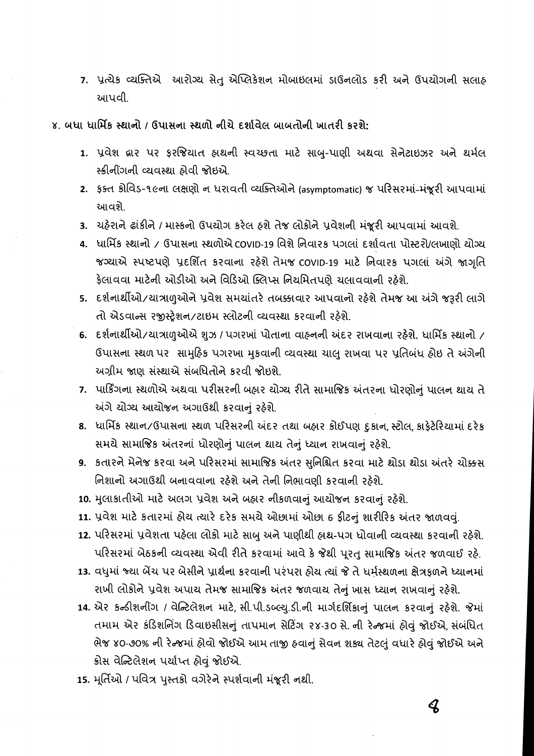7. પ્રત્યેક વ્યક્તિએ આરોગ્ય સેતુ એપ્લિકેશન મોબાઇલમાં ડાઉનલોડ કરી અને ઉપયોગની સલાહ આપવી.

## ૪. બધા ધાર્મિક સ્થાનો / ઉપાસના સ્થળો નીચે દર્શાવેલ બાબતોની ખાતરી કરશે:

- 1. પ્રવેશ દ્વાર પર ફરજિયાત હ્રાથની સ્વચ્છતા માટે સાબુ-પાણી અથવા સેનેટાઇઝર અને થર્મલ સ્ક્રીનીંગની વ્યવસ્થા ઠોવી જોઇએ.
- 2. ફક્ત કોવિડ-૧૯ના લક્ષણો ન ધરાવતી વ્યક્તિઓને (asymptomatic) જ પરિસરમાં-મંજૂરી આપવામાં આવશે.
- 3. યહેરાને ઢાંકીને / માસ્કનો ઉપયોગ કરેલ હશે તેજ લોકોને પ્રવેશની મંજૂરી આપવામાં આવશે.
- 4. ધાર્મિક સ્થાનો / ઉપાસના સ્થળોએ covip-19 વિશે નિવારક પગલાં દર્શાવતા પોસ્ટરો/લખાણો યોગ્ય જગ્યાએ સ્પષ્ટપણે પ્રદર્શિત કરવાના રહેશે તેમજ coviD-19 માટે નિવારક પગલાં અંગે જાગૃતિ ફેલાવવા માટેની ઓડીઓ અને વિડિઓ ક્લિપ્સ નિયમિતપણે યલાવવાની રહેશે.
- 5. દર્શનાર્થીઓ/યાત્રાળુઓને પ્રવેશ સમયાંતરે તબક્કાવાર આપવાનો રહેશે તેમજ આ અંગે જરૂરી લાગે તો એડવાન્સ રજીસ્ટ્રેશન/ટાઇમ સ્લોટની વ્યવસ્થા કરવાની રહેશે.
- 6. દર્શનાર્થીઓ/યાત્રાળુઓએ શુઝ / પગરખાં પોતાના વાહનની અંદર રાખવાના રહેશે. ધાર્મિક સ્થાનો / ઉપાસના સ્થળ પર સામુઠિક પગરખા મુકવાની વ્યવસ્થા યાલુ રાખવા પર પ્રતિબંધ હોઇ તે અંગેની અગ્રીમ જાણ સંસ્થાએ સંબધિતોને કરવી જોઇશે.
- 7. પાર્કિંગના સ્થળોએ અથવા પરીસરની બહાર યોગ્ય રીતે સામાજિક અંતરના ધોરણોનું પાલન થાય તે અંગે યોગ્ય આયોજન અગાઉથી કરવાનું રહેશે.
- 8. ધાર્મિક સ્થાન/ઉપાસના સ્થળ પરિસરની અંદર તથા બહાર કોઈપણ દકાન,સ્ટોલ,કાકેટેરિયામાં દરેક સમયે સામાજિક અંતરનાં ધોરણોનું પાલન થાય તેનું ધ્યાન રાખવાનું રહેશે.
- 9. કતારને મેનેજ કરવા અને પરિસરમાં સામાજિક અંતર સુનિશ્ચિત કરવા માટે થોડા થોડા અંતરે ચોક્કસ નિશાનો અગાઉથી બનાવવાના રહેશે અને તેની નિભાવણી કરવાની રહેશે.
- 10. મુલાકાતીઓ માટે અલગ પ્રવેશ અને બહાર નીકળવાનું આયોજન કરવાનું રહેશે.
- 11. પ્રવેશ માટે કતારમાં હોય ત્યારે દરેક સમયે ઓછામાં ઓછા 6 ફીટનું શારીરિક અંતર જાળવવું.
- 12. પરિસરમાં પ્રવેશતા પહેલા લોકો માટે સાબુ અને પાણીથી હાથ-પગ ધોવાની વ્યવસ્થા કરવાની રહેશે. પરિસરમાં બેઠકની વ્યવસ્થા એવી રીતે કરવામાં આવે કે જેથી પૂરતુ સામાજિક અંતર જળવાઈ રહે.
- 13. વધુમાં જ્યા બેંચ પર બેસીને પ્રાર્થના કરવાની પરંપરા ઠોય ત્યાં જે તે ધર્મસ્થળના ક્ષેત્રકળને ધ્યાનમાં રાખી લોકોને પ્રવેશ અપાય તેમજ સામાજિક અંતર જળવાય તેનું ખાસ ધ્યાન રાખવાનું રહેશે.
- 14. એર કન્ડીશનીંગ / વેન્ટિલેશન માટે, સી.પી.ડબ્લ્યુ.ડી.ની માર્ગદર્શિકાનું પાલન કરવાનું રહેશે. જેમાં તમામ એર કંડિશનિંગ ડિવાઇસીસનું તાપમાન સેટિંગ ૨૪-૩૦ સે. ની રેન્જમાં હોવું જોઈએ, સંબંધિત ભેજ ૪૦-૭૦% ની રેન્જમાં હોવો જોઈએ આમ તાજી હવાનું સેવન શક્ય તેટલું વધારે હોવું જોઈએ અને ક્રોસ વેન્ટિલેશન પર્યાપ્ત હોવું જોઈએ.
- 15. મૂર્તિઓ / પવિત્ર પુસ્તકો વગેરેને સ્પર્શવાની મંજૂરી નથી.

 $\boldsymbol{Q}$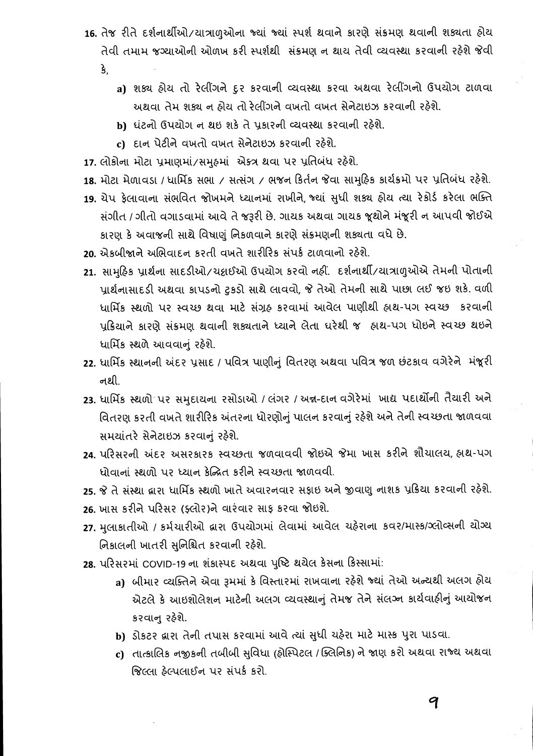- 16. તેજ રીતે દર્શનાર્થીઓ/યાત્રાળુઓના જ્યાં જ્યાં સ્પર્શ થવાને કારણે સંક્રમણ થવાની શક્યતા હોય તેવી તમામ જગ્યાઓની ઓળખ કરી સ્પર્શથી સંક્રમણ ન થાય તેવી વ્યવસ્થા કરવાની રહેશે જેવી
	- $\mathbf{\hat{S}}$ 
		- a) શક્ય હોય તો રેલીંગને દુર કરવાની વ્યવસ્થા કરવા અથવા રેલીંગનો ઉપયોગ ટાળવા અથવા તેમ શક્ય ન ઠોય તો રેલીંગને વખતો વખત સેનેટાઇઝ કરવાની રહેશે.
		- b) ધંટનો ઉપયોગ ન થઇ શકે તે પ્રકારની વ્યવસ્થા કરવાની રહેશે.
		- c) દાન પેટીને વખતો વખત સેનેટાઇઝ કરવાની રહેશે.
- 17. લોકોના મોટા પ્રમાણમાં/સમુહમાં એકત્ર થવા પર પ્રતિબંધ રહેશે.
- 18. મોટા મેળાવડા / ધાર્મિક સભા / સત્સંગ / ભજન કિર્તન જેવા સામુહિક કાર્યક્રમો પર પ્રતિબંધ રહેશે.
- 19. ચેપ ફેલાવાના સંભવિત જોખમને ધ્યાનમાં રાખીને, જ્યાં સુધી શક્ય હોય ત્યા રેકોર્ડ કરેલા ભક્તિ સંગીત / ગીતો વગાડવામાં આવે તે જરૂરી છે. ગાયક અથવા ગાયક જૂથોને મંજૂરી ન આપવી જોઈએ કારણ કે અવાજની સાથે વિષાણું નિકળવાને કારણે સંક્રમણની શક્યતા વધે છે.
- 20. એકબીજાને અભિવાદન કરતી વખતે શારીરિક સંપર્ક ટાળવાનો રહેશે.
- 21. સામૂઠિક પ્રાર્થના સાદડીઓ/ચદ્રાઈઓ ઉપયોગ કરવો નહીં. દર્શનાર્થી/યાત્રાળુઓએ તેમની પોતાની પ્રાર્થનાસાદડી અથવા કાપડનો ટુકડો સાથે લાવવો, જે તેઓ તેમની સાથે પાછા લઈ જઇ શકે. વળી ધાર્મિક સ્થળો પર સ્વચ્છ થવા માટે સંગ્રહ કરવામાં આવેલ પાણીથી હાથ-પગ સ્વચ્છ કરવાની પ્રક્રિયાને કારણે સંક્રમણ થવાની શક્યતાને ધ્યાને લેતા ધરેથી જ હ્રાથ-પગ ધોઇને સ્વચ્છ થઇને ધાર્મિક સ્થળે આવવાનું રહેશે.
- 22. ધાર્મિક સ્થાનની અંદર પ્રસાદ / પવિત્ર પાણીનું વિતરણ અથવા પવિત્ર જળ છંટકાવ વગેરેને મંજૂરી નથી.
- 23. ધાર્મિક સ્થળો પર સમુદાયના રસોડાઓ / લંગર / અન્ન-દાન વગેરેમાં ખાદ્ય પદાર્થોની તૈયારી અને વિતરણ કરતી વખતે શારીરિક અંતરના ધોરણોનું પાલન કરવાનું રહેશે અને તેની સ્વચ્છતા જાળવવા સમયાંતરે સેનેટાઇઝ કરવાનું રહેશે.
- 24. પરિસરની અંદર અસરકારક સ્વચ્છતા જળવાવવી જોઇએ જેમા ખાસ કરીને શૌચાલય, હ્રાથ-પગ ધોવાનાં સ્થળો પર ધ્યાન કેન્નિત કરીને સ્વચ્છતા જાળવવી.
- 25. જે તે સંસ્થા દ્વારા ધાર્મિક સ્થળો ખાતે અવારનવાર સફાઇ અને જીવાણુ નાશક પ્રક્રિયા કરવાની રહેશે.
- 26. ખાસ કરીને પરિસર (ફ્લોર)ને વારંવાર સાફ કરવા જોઇશે.
- 27. મુલાકાતીઓ / કર્મચારીઓ દ્વારા ઉપયોગમાં લેવામાં આવેલ ચહેરાના કવર/માસ્ક/ગ્લોવ્સની યોગ્ય નિકાલની ખાતરી સુનિશ્ચિત કરવાની રહેશે.
- 28. પરિસરમાં COVID-19 ના શંકાસ્પદ અથવા પુષ્ટિ થયેલ કેસના કિસ્સામાં:
	- a) બીમાર વ્યક્તિને એવા રૂમમાં કે વિસ્તારમાં રાખવાના રહેશે જ્યાં તેઓ અન્યથી અલગ હોય એટલે કે આઇશોલેશન માટેની અલગ વ્યવસ્થાનું તેમજ તેને સંલઝ્ન કાર્યવાઠીનું આયોજન કરવાન રહેશે.
	- b) ડોકટર લ્રારા તેની તપાસ કરવામાં આવે ત્યાં સુધી ચહેરા માટે માસ્ક પુરા પાડવા.
	- ເ) તાત્કાલિક નજીકની તબીબી સુવિધા (ફોસ્પિટલ /ક્લિનિક) ને જાણ કરો અથવા રાજ્ય અથવા જિલ્લા ઠેલ્પલાઈન પર સંપર્ક કરો.